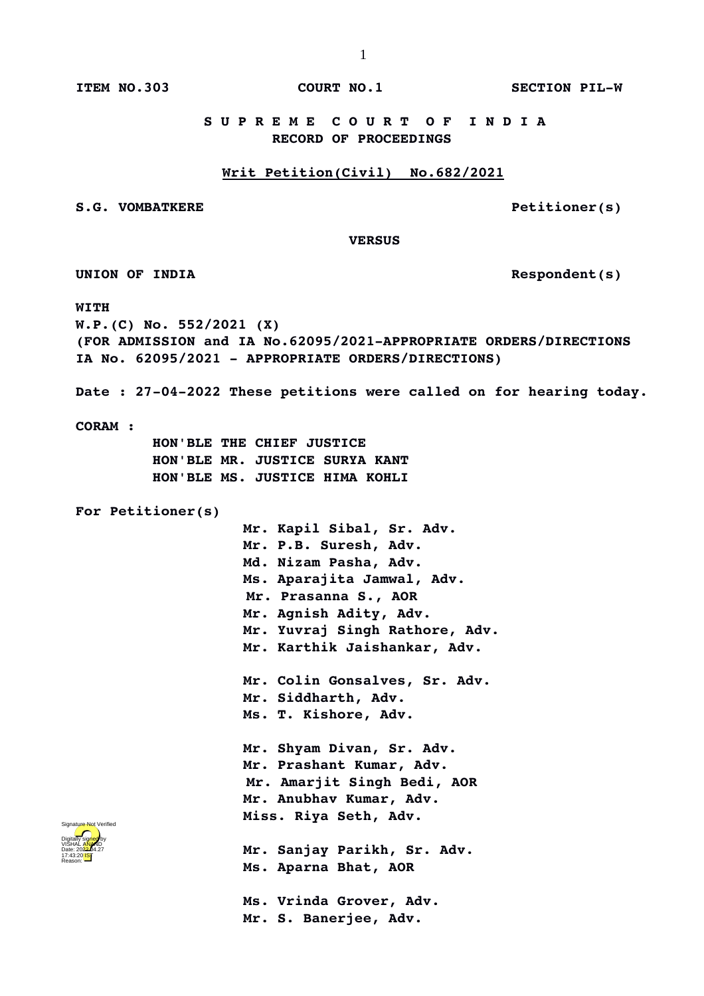**ITEM NO.303 COURT NO.1 SECTION PILW**

 **S U P R E M E C O U R T O F I N D I A RECORD OF PROCEEDINGS**

## **Writ Petition(Civil) No.682/2021**

S.G. VOMBATKERE **S.G. VOMBATKERE** 

 **VERSUS**

**UNION OF INDIA Respondent(s)**

**WITH**

**W.P.(C) No. 552/2021 (X) (FOR ADMISSION and IA No.62095/2021APPROPRIATE ORDERS/DIRECTIONS IA No. 62095/2021 APPROPRIATE ORDERS/DIRECTIONS)**

Date : 27-04-2022 These petitions were called on for hearing today.

**CORAM :** 

 **HON'BLE THE CHIEF JUSTICE HON'BLE MR. JUSTICE SURYA KANT HON'BLE MS. JUSTICE HIMA KOHLI**

**For Petitioner(s)**

**Mr. Kapil Sibal, Sr. Adv. Mr. P.B. Suresh, Adv. Md. Nizam Pasha, Adv. Ms. Aparajita Jamwal, Adv. Mr. Prasanna S., AOR Mr. Agnish Adity, Adv. Mr. Yuvraj Singh Rathore, Adv. Mr. Karthik Jaishankar, Adv. Mr. Colin Gonsalves, Sr. Adv. Mr. Siddharth, Adv. Ms. T. Kishore, Adv.**

**Mr. Shyam Divan, Sr. Adv. Mr. Prashant Kumar, Adv. Mr. Amarjit Singh Bedi, AOR Mr. Anubhav Kumar, Adv. Miss. Riya Seth, Adv.**

**Mr. Sanjay Parikh, Sr. Adv. Ms. Aparna Bhat, AOR**

**Ms. Vrinda Grover, Adv. Mr. S. Banerjee, Adv.**